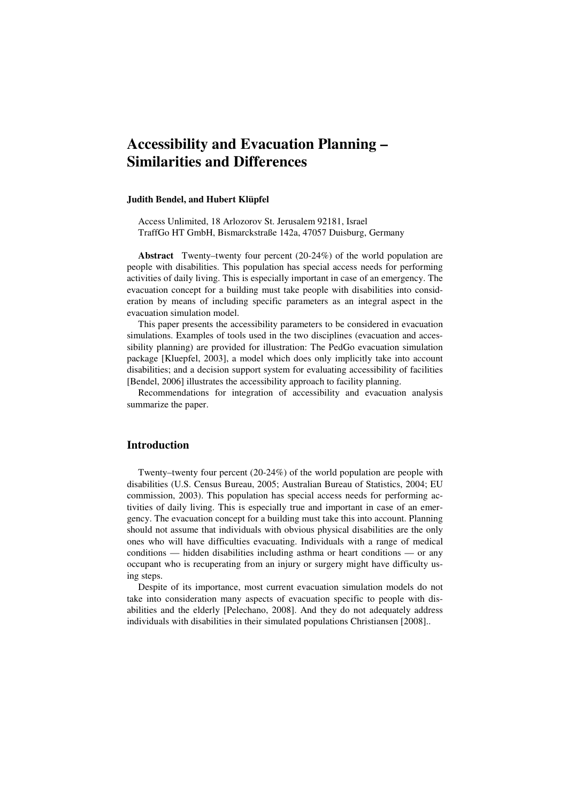# **Accessibility and Evacuation Planning – Similarities and Differences**

#### **Judith Bendel, and Hubert Klüpfel**

Access Unlimited, 18 Arlozorov St. Jerusalem 92181, Israel TraffGo HT GmbH, Bismarckstraße 142a, 47057 Duisburg, Germany

**Abstract** Twenty–twenty four percent (20-24%) of the world population are people with disabilities. This population has special access needs for performing activities of daily living. This is especially important in case of an emergency. The evacuation concept for a building must take people with disabilities into consideration by means of including specific parameters as an integral aspect in the evacuation simulation model.

This paper presents the accessibility parameters to be considered in evacuation simulations. Examples of tools used in the two disciplines (evacuation and accessibility planning) are provided for illustration: The PedGo evacuation simulation package [Kluepfel, 2003], a model which does only implicitly take into account disabilities; and a decision support system for evaluating accessibility of facilities [Bendel, 2006] illustrates the accessibility approach to facility planning.

Recommendations for integration of accessibility and evacuation analysis summarize the paper.

# **Introduction**

Twenty–twenty four percent (20-24%) of the world population are people with disabilities (U.S. Census Bureau, 2005; Australian Bureau of Statistics, 2004; EU commission, 2003). This population has special access needs for performing activities of daily living. This is especially true and important in case of an emergency. The evacuation concept for a building must take this into account. Planning should not assume that individuals with obvious physical disabilities are the only ones who will have difficulties evacuating. Individuals with a range of medical conditions — hidden disabilities including asthma or heart conditions — or any occupant who is recuperating from an injury or surgery might have difficulty using steps.

Despite of its importance, most current evacuation simulation models do not take into consideration many aspects of evacuation specific to people with disabilities and the elderly [Pelechano, 2008]. And they do not adequately address individuals with disabilities in their simulated populations Christiansen [2008]..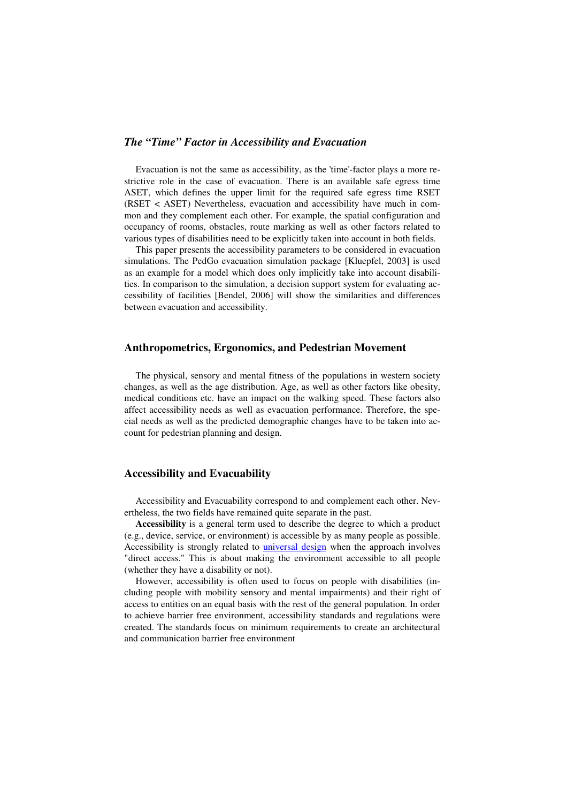# *The "Time" Factor in Accessibility and Evacuation*

Evacuation is not the same as accessibility, as the 'time'-factor plays a more restrictive role in the case of evacuation. There is an available safe egress time ASET, which defines the upper limit for the required safe egress time RSET (RSET < ASET) Nevertheless, evacuation and accessibility have much in common and they complement each other. For example, the spatial configuration and occupancy of rooms, obstacles, route marking as well as other factors related to various types of disabilities need to be explicitly taken into account in both fields.

This paper presents the accessibility parameters to be considered in evacuation simulations. The PedGo evacuation simulation package [Kluepfel, 2003] is used as an example for a model which does only implicitly take into account disabilities. In comparison to the simulation, a decision support system for evaluating accessibility of facilities [Bendel, 2006] will show the similarities and differences between evacuation and accessibility.

#### **Anthropometrics, Ergonomics, and Pedestrian Movement**

The physical, sensory and mental fitness of the populations in western society changes, as well as the age distribution. Age, as well as other factors like obesity, medical conditions etc. have an impact on the walking speed. These factors also affect accessibility needs as well as evacuation performance. Therefore, the special needs as well as the predicted demographic changes have to be taken into account for pedestrian planning and design.

# **Accessibility and Evacuability**

Accessibility and Evacuability correspond to and complement each other. Nevertheless, the two fields have remained quite separate in the past.

**Accessibility** is a general term used to describe the degree to which a product (e.g., device, service, or environment) is accessible by as many people as possible. Accessibility is strongly related to *universal design* when the approach involves "direct access." This is about making the environment accessible to all people (whether they have a disability or not).

However, accessibility is often used to focus on people with disabilities (including people with mobility sensory and mental impairments) and their right of access to entities on an equal basis with the rest of the general population. In order to achieve barrier free environment, accessibility standards and regulations were created. The standards focus on minimum requirements to create an architectural and communication barrier free environment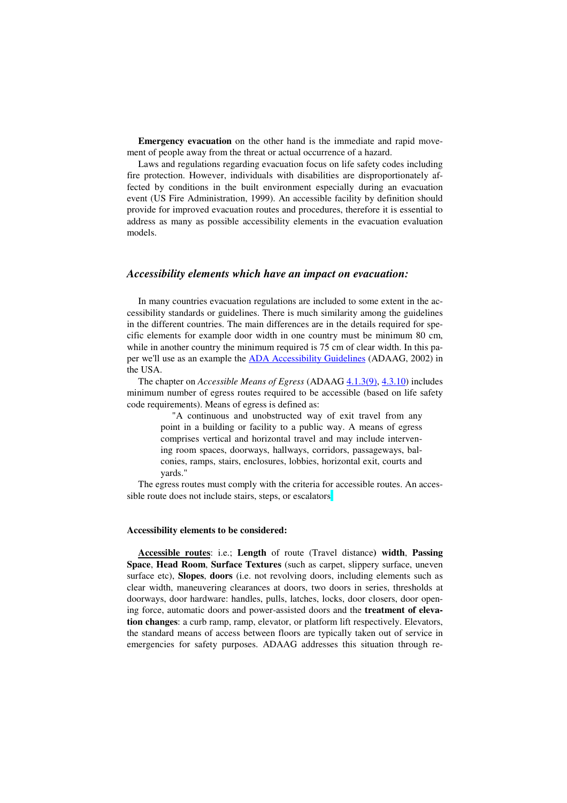**Emergency evacuation** on the other hand is the immediate and rapid movement of people away from the threat or actual occurrence of a hazard.

Laws and regulations regarding evacuation focus on life safety codes including fire protection. However, individuals with disabilities are disproportionately affected by conditions in the built environment especially during an evacuation event (US Fire Administration, 1999). An accessible facility by definition should provide for improved evacuation routes and procedures, therefore it is essential to address as many as possible accessibility elements in the evacuation evaluation models.

#### *Accessibility elements which have an impact on evacuation:*

In many countries evacuation regulations are included to some extent in the accessibility standards or guidelines. There is much similarity among the guidelines in the different countries. The main differences are in the details required for specific elements for example door width in one country must be minimum 80 cm, while in another country the minimum required is 75 cm of clear width. In this paper we'll use as an example the ADA Accessibility Guidelines (ADAAG, 2002) in the USA.

The chapter on *Accessible Means of Egress* (ADAAG 4.1.3(9), 4.3.10) includes minimum number of egress routes required to be accessible (based on life safety code requirements). Means of egress is defined as:

> "A continuous and unobstructed way of exit travel from any point in a building or facility to a public way. A means of egress comprises vertical and horizontal travel and may include intervening room spaces, doorways, hallways, corridors, passageways, balconies, ramps, stairs, enclosures, lobbies, horizontal exit, courts and yards."

The egress routes must comply with the criteria for accessible routes. An accessible route does not include stairs, steps, or escalators

#### **Accessibility elements to be considered:**

**Accessible routes**: i.e.; **Length** of route (Travel distance**) width**, **Passing Space**, **Head Room**, **Surface Textures** (such as carpet, slippery surface, uneven surface etc), **Slopes**, **doors** (i.e. not revolving doors, including elements such as clear width, maneuvering clearances at doors, two doors in series, thresholds at doorways, door hardware: handles, pulls, latches, locks, door closers, door opening force, automatic doors and power-assisted doors and the **treatment of elevation changes**: a curb ramp, ramp, elevator, or platform lift respectively. Elevators, the standard means of access between floors are typically taken out of service in emergencies for safety purposes. ADAAG addresses this situation through re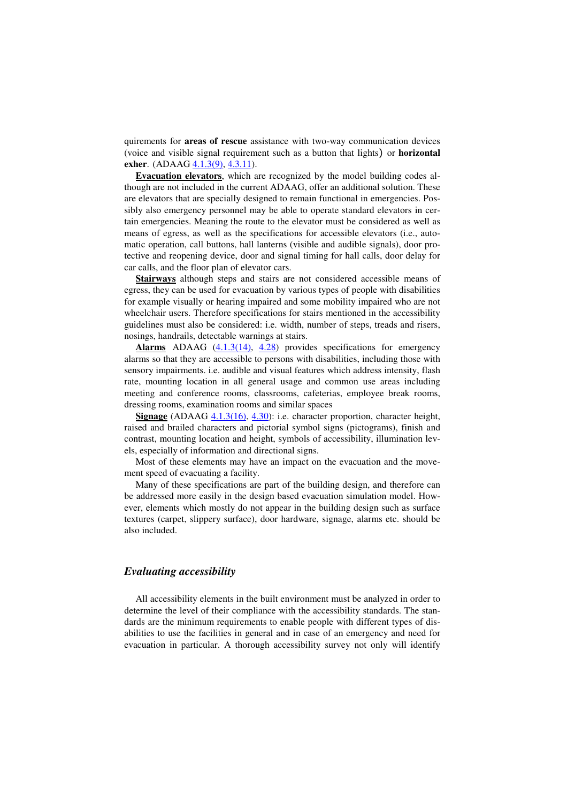quirements for **areas of rescue** assistance with two-way communication devices (voice and visible signal requirement such as a button that lights) or **horizontal exher**. (ADAAG 4.1.3(9), 4.3.11).

**Evacuation elevators**, which are recognized by the model building codes although are not included in the current ADAAG, offer an additional solution. These are elevators that are specially designed to remain functional in emergencies. Possibly also emergency personnel may be able to operate standard elevators in certain emergencies. Meaning the route to the elevator must be considered as well as means of egress, as well as the specifications for accessible elevators (i.e., automatic operation, call buttons, hall lanterns (visible and audible signals), door protective and reopening device, door and signal timing for hall calls, door delay for car calls, and the floor plan of elevator cars.

**Stairways** although steps and stairs are not considered accessible means of egress, they can be used for evacuation by various types of people with disabilities for example visually or hearing impaired and some mobility impaired who are not wheelchair users. Therefore specifications for stairs mentioned in the accessibility guidelines must also be considered: i.e. width, number of steps, treads and risers, nosings, handrails, detectable warnings at stairs.

**Alarms** ADAAG (4.1.3(14), 4.28) provides specifications for emergency alarms so that they are accessible to persons with disabilities, including those with sensory impairments. i.e. audible and visual features which address intensity, flash rate, mounting location in all general usage and common use areas including meeting and conference rooms, classrooms, cafeterias, employee break rooms, dressing rooms, examination rooms and similar spaces

**Signage** (ADAAG 4.1.3(16), 4.30): i.e. character proportion, character height, raised and brailed characters and pictorial symbol signs (pictograms), finish and contrast, mounting location and height, symbols of accessibility, illumination levels, especially of information and directional signs.

Most of these elements may have an impact on the evacuation and the movement speed of evacuating a facility.

Many of these specifications are part of the building design, and therefore can be addressed more easily in the design based evacuation simulation model. However, elements which mostly do not appear in the building design such as surface textures (carpet, slippery surface), door hardware, signage, alarms etc. should be also included.

## *Evaluating accessibility*

All accessibility elements in the built environment must be analyzed in order to determine the level of their compliance with the accessibility standards. The standards are the minimum requirements to enable people with different types of disabilities to use the facilities in general and in case of an emergency and need for evacuation in particular. A thorough accessibility survey not only will identify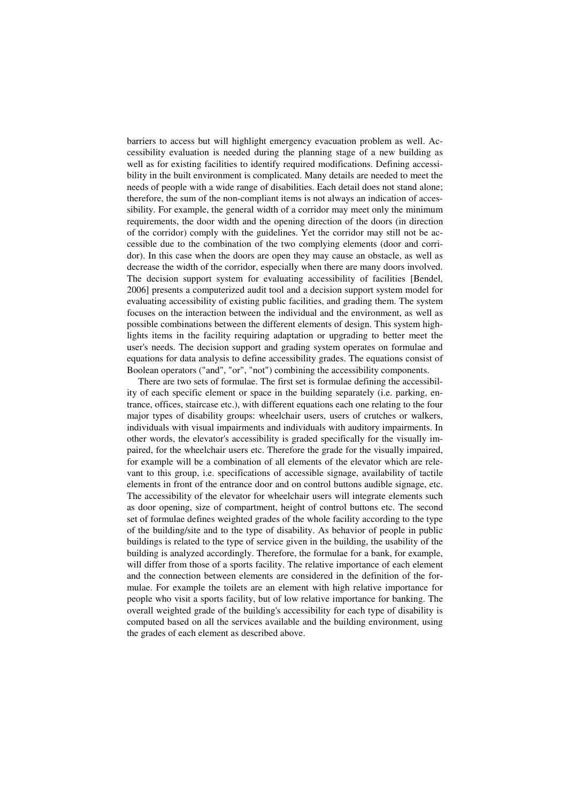barriers to access but will highlight emergency evacuation problem as well. Accessibility evaluation is needed during the planning stage of a new building as well as for existing facilities to identify required modifications. Defining accessibility in the built environment is complicated. Many details are needed to meet the needs of people with a wide range of disabilities. Each detail does not stand alone; therefore, the sum of the non-compliant items is not always an indication of accessibility. For example, the general width of a corridor may meet only the minimum requirements, the door width and the opening direction of the doors (in direction of the corridor) comply with the guidelines. Yet the corridor may still not be accessible due to the combination of the two complying elements (door and corridor). In this case when the doors are open they may cause an obstacle, as well as decrease the width of the corridor, especially when there are many doors involved. The decision support system for evaluating accessibility of facilities [Bendel, 2006] presents a computerized audit tool and a decision support system model for evaluating accessibility of existing public facilities, and grading them. The system focuses on the interaction between the individual and the environment, as well as possible combinations between the different elements of design. This system highlights items in the facility requiring adaptation or upgrading to better meet the user's needs. The decision support and grading system operates on formulae and equations for data analysis to define accessibility grades. The equations consist of Boolean operators ("and", "or", "not") combining the accessibility components.

There are two sets of formulae. The first set is formulae defining the accessibility of each specific element or space in the building separately (i.e. parking, entrance, offices, staircase etc.), with different equations each one relating to the four major types of disability groups: wheelchair users, users of crutches or walkers, individuals with visual impairments and individuals with auditory impairments. In other words, the elevator's accessibility is graded specifically for the visually impaired, for the wheelchair users etc. Therefore the grade for the visually impaired, for example will be a combination of all elements of the elevator which are relevant to this group, i.e. specifications of accessible signage, availability of tactile elements in front of the entrance door and on control buttons audible signage, etc. The accessibility of the elevator for wheelchair users will integrate elements such as door opening, size of compartment, height of control buttons etc. The second set of formulae defines weighted grades of the whole facility according to the type of the building/site and to the type of disability. As behavior of people in public buildings is related to the type of service given in the building, the usability of the building is analyzed accordingly. Therefore, the formulae for a bank, for example, will differ from those of a sports facility. The relative importance of each element and the connection between elements are considered in the definition of the formulae. For example the toilets are an element with high relative importance for people who visit a sports facility, but of low relative importance for banking. The overall weighted grade of the building's accessibility for each type of disability is computed based on all the services available and the building environment, using the grades of each element as described above.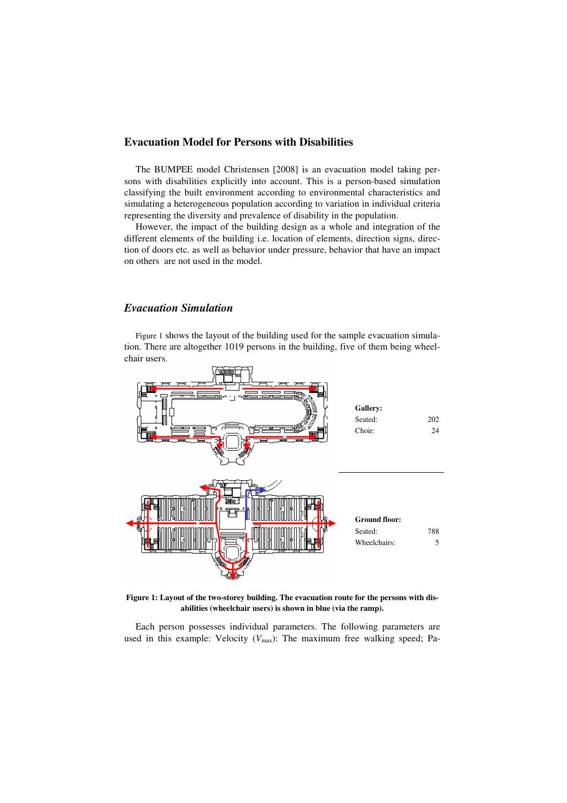## **Evacuation Model for Persons with Disabilities**

The BUMPEE model Christensen [2008] is an evacuation model taking persons with disabilities explicitly into account. This is a person-based simulation classifying the built environment according to environmental characteristics and simulating a heterogeneous population according to variation in individual criteria representing the diversity and prevalence of disability in the population.

However, the impact of the building design as a whole and integration of the different elements of the building i.e. location of elements, direction signs, direction of doors etc. as well as behavior under pressure, behavior that have an impact on others are not used in the model.

## *Evacuation Simulation*

Figure 1 shows the layout of the building used for the sample evacuation simulation. There are altogether 1019 persons in the building, five of them being wheelchair users.



**Figure 1: Layout of the two-storey building. The evacuation route for the persons with disabilities (wheelchair users) is shown in blue (via the ramp).** 

Each person possesses individual parameters. The following parameters are used in this example: Velocity ( $V_{\text{max}}$ ): The maximum free walking speed; Pa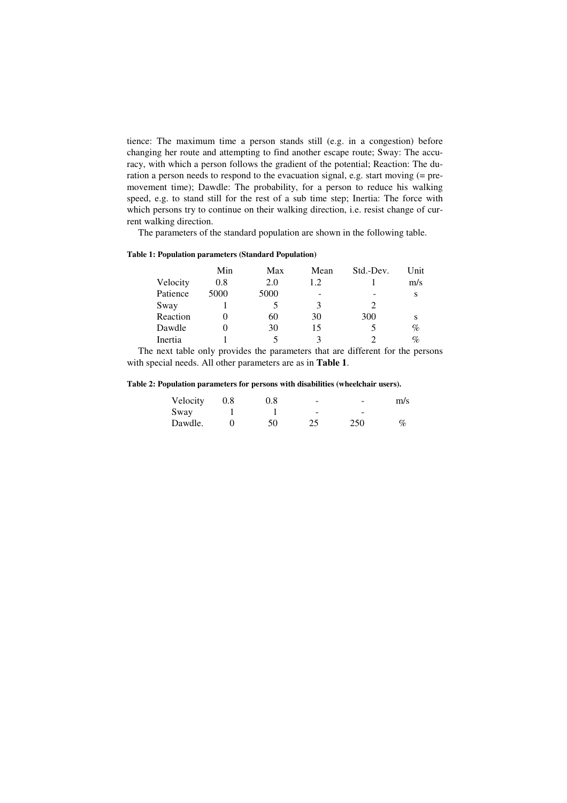tience: The maximum time a person stands still (e.g. in a congestion) before changing her route and attempting to find another escape route; Sway: The accuracy, with which a person follows the gradient of the potential; Reaction: The duration a person needs to respond to the evacuation signal, e.g. start moving (= premovement time); Dawdle: The probability, for a person to reduce his walking speed, e.g. to stand still for the rest of a sub time step; Inertia: The force with which persons try to continue on their walking direction, i.e. resist change of current walking direction.

The parameters of the standard population are shown in the following table.

#### **Table 1: Population parameters (Standard Population)**

|          | Min  | Max  | Mean | Std.-Dev. | Unit |
|----------|------|------|------|-----------|------|
| Velocity | 0.8  | 2.0  | 1.2  |           | m/s  |
| Patience | 5000 | 5000 |      |           | S    |
| Sway     |      |      | 3    |           |      |
| Reaction |      | 60   | 30   | 300       | S    |
| Dawdle   |      | 30   | 15   |           | %    |
| Inertia  |      |      |      |           | $\%$ |

The next table only provides the parameters that are different for the persons with special needs. All other parameters are as in **Table 1**.

#### **Table 2: Population parameters for persons with disabilities (wheelchair users).**

| Velocity | 0.8 | 0.8 | -                        | -                        | m/s  |
|----------|-----|-----|--------------------------|--------------------------|------|
| Sway     |     |     | $\overline{\phantom{a}}$ | $\overline{\phantom{0}}$ |      |
| Dawdle.  |     | 50  | 25                       | 250                      | $\%$ |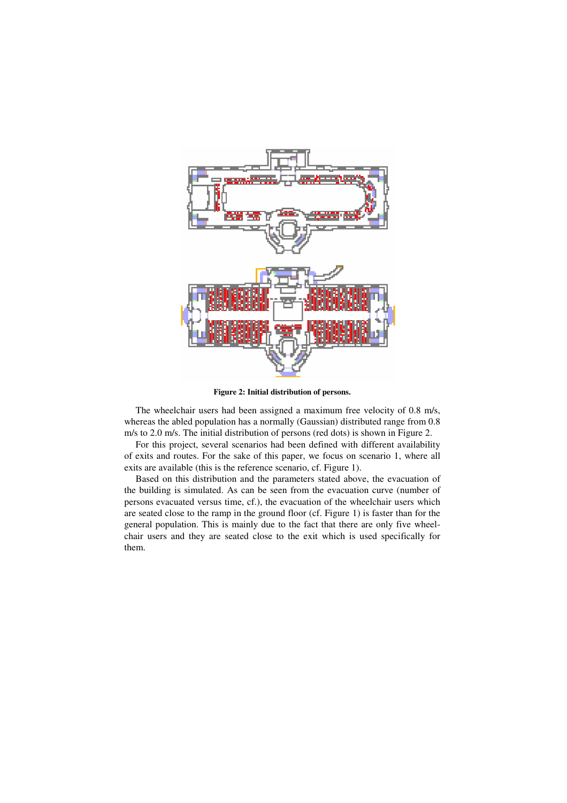

**Figure 2: Initial distribution of persons.** 

The wheelchair users had been assigned a maximum free velocity of 0.8 m/s, whereas the abled population has a normally (Gaussian) distributed range from 0.8 m/s to 2.0 m/s. The initial distribution of persons (red dots) is shown in Figure 2.

For this project, several scenarios had been defined with different availability of exits and routes. For the sake of this paper, we focus on scenario 1, where all exits are available (this is the reference scenario, cf. Figure 1).

Based on this distribution and the parameters stated above, the evacuation of the building is simulated. As can be seen from the evacuation curve (number of persons evacuated versus time, cf.), the evacuation of the wheelchair users which are seated close to the ramp in the ground floor (cf. Figure 1) is faster than for the general population. This is mainly due to the fact that there are only five wheelchair users and they are seated close to the exit which is used specifically for them.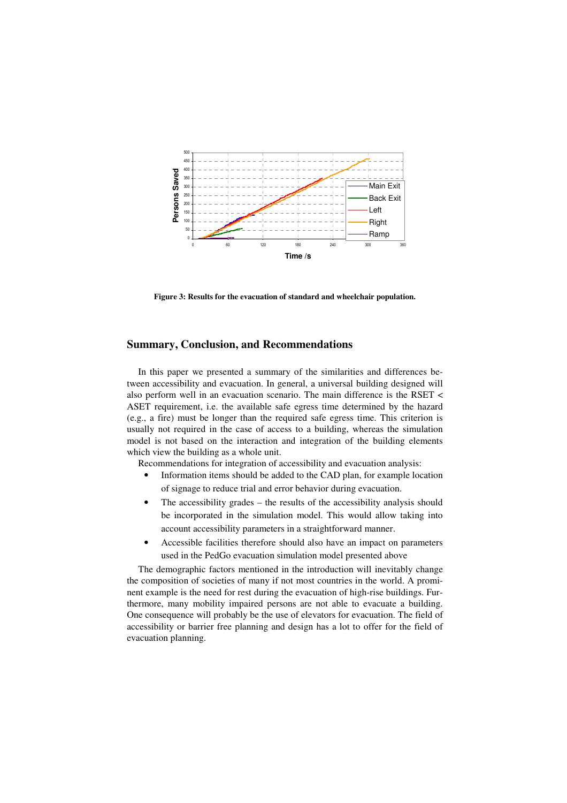

**Figure 3: Results for the evacuation of standard and wheelchair population.** 

#### **Summary, Conclusion, and Recommendations**

In this paper we presented a summary of the similarities and differences between accessibility and evacuation. In general, a universal building designed will also perform well in an evacuation scenario. The main difference is the RSET < ASET requirement, i.e. the available safe egress time determined by the hazard (e.g., a fire) must be longer than the required safe egress time. This criterion is usually not required in the case of access to a building, whereas the simulation model is not based on the interaction and integration of the building elements which view the building as a whole unit.

Recommendations for integration of accessibility and evacuation analysis:

- Information items should be added to the CAD plan, for example location of signage to reduce trial and error behavior during evacuation.
- The accessibility grades the results of the accessibility analysis should be incorporated in the simulation model. This would allow taking into account accessibility parameters in a straightforward manner.
- Accessible facilities therefore should also have an impact on parameters used in the PedGo evacuation simulation model presented above

The demographic factors mentioned in the introduction will inevitably change the composition of societies of many if not most countries in the world. A prominent example is the need for rest during the evacuation of high-rise buildings. Furthermore, many mobility impaired persons are not able to evacuate a building. One consequence will probably be the use of elevators for evacuation. The field of accessibility or barrier free planning and design has a lot to offer for the field of evacuation planning.